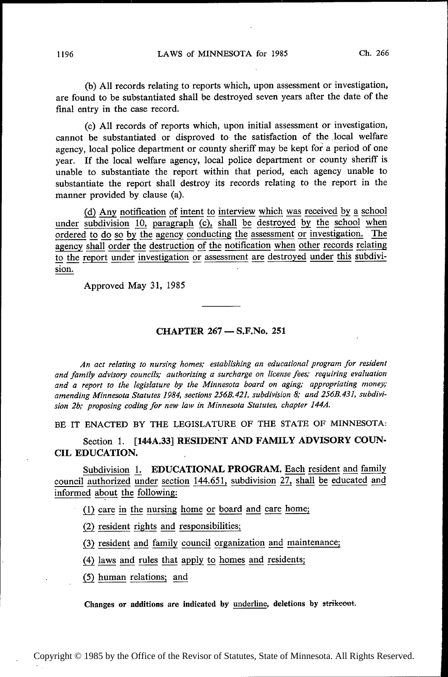(b) All records relating to reports which, upon assessment or investigation, are found to be substantiated shall be destroyed seven years after the date of the final entry in the case record.

(c) All records of reports which, upon initial assessment or investigation, cannot be substantiated or disproved to the satisfaction of the .local welfare agency, local police department or county sheriff may be kept for a period of one year. If the local welfare agency, local police department or county sheriff is unable to substantiate the report within that period, each agency unable to substantiate the report shall destroy its records relating to the report in the manner provided by clause (a).

 $\frac{d}{d}$  Any notification of intent to interview which was received by a school<br>subdivision 10 personant  $\frac{d}{d}$  shall be destroyed by the school when under subdivision  $\frac{10}{3}$  paragraph (c), shall be destroyed by the school when ordered to do so by the agency conducting the assessment or investigation. The agency shall order the destruction of the notification when other records relating to the report under investigation or assessment are destroyed under this subdivision.

Approved May 31, 1985

## ~ CHAPTER 267 — S.F.No. 251

An act relating to nursing homes; establishing an educational program for resident and family advisory councils; authorizing a' surcharge on license fees; requiring evaluation and a report to the legislature by the Minnesota board on aging; appropriating money; amending Minnesota Statutes 1984, sections 256B.421, subdivision 8; and 256B.431, subdivision 2b; proposing coding for new law in Minnesota Statutes, chapter 144A.

BE IT ENACTED BY THE LEGISLATURE OF THE STATE OF MINNESOTA:

Section 1. [144A.33] RESIDENT AND FAMILY ADVISORY COUN-CIL EDUCATION.

Subdivision 1. EDUCATIONAL PROGRAM. Each resident and family council authorized under section 144.651, subdivision  $27$ , shall be educated and informed about the following:

 $(1)$  care in the nursing home or board and care home;

 $(2)$  resident rights and responsibilities;

(3) resident and family council organization and maintenance;

(4) laws and rules that apply to homes and residents;

(5) human relations; and

Changes or additions are indicated by underline, deletions by strikeout.

~

~~~

~

~

~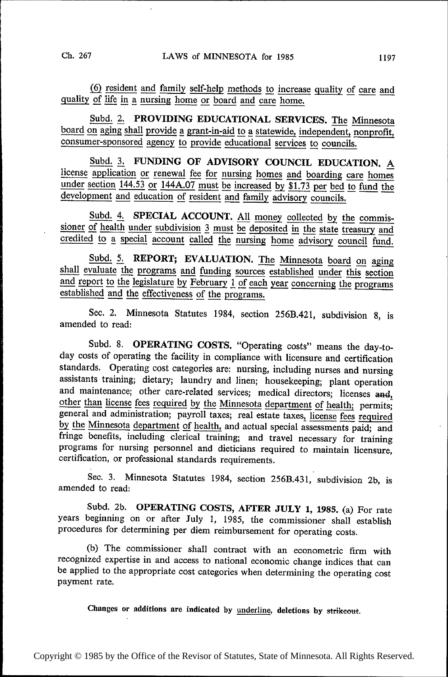(6) resident and family self-help methods to increase quality of care and quality of life in a nursing home or board and care home.<br>Subd. 2. PROVIDING EDUCATIONAL SERVICES. The Minnesota

Subd. 2. PROVIDING EDUCATIONAL SERVICES. The Minnesota board on aging shall provide a grant-in-aid to a statewide, independent, nonprofit, consumer-sponsored agency to provide educational services to councils.

Subd. 3. FUNDING OF ADVISORY COUNCIL EDUCATION. A license application or renewal fee for nursing homes and boarding care homes under section 144.53 or 144A.07 must be increased by  $\overline{$1.73$}$  per bed to fund the development and education of resident and family advisory councils.

Subd. 4. SPECIAL ACCOUNT. All money collected by the commis-<br>sioner of health under subdivision  $\frac{3}{2}$  must be deposited in the state treasury and<br>credited to a special account called the pursing home editions council credited to a special account called the nursing home advisory council fund.

Subd. 5. REPORT; EVALUATION. The Minnesota board on aging shall evaluate the programs and funding sources established under this section and report to the legislature by February 1 of each year concerning the programs established and the effectiveness of the programs.

Sec. 2. Minnesota Statutes 1984, section 256B.421, subdivision 8, is amended to read:

Subd. 8. OPERATING COSTS. "Operating costs" means the day-today costs of operating the facility in compliance with licensure and certification standards. Operating cost categories are: nursing, including nurses and nursing assistants training; dietary; laundry and linen; housekeeping; plant operation and maintenance; other care-related services; medical directors; licenses and, other than license fees required by the Minnesota department of health; permits; general and administration; payroll taxes; real estate taxes, license fees required by the Minnesota department of health, and actual special assessments paid; and fringe benefits, including clerical training; and travel necessary for training programs for nursing personnel and dieticians required to maintain licensure, certification, or professional standards requirements.

Sec. 3. Minnesota Statutes 1984, section 256B.431, subdivision 2b, is amended to read:

Subd. 2b. OPERATING COSTS, AFTER JULY 1, 1985. (a) For rate years beginning on or after July 1, 1985, the commissioner shall establish procedures for determining per diem reimbursement for operating costs.

(b) The commissioner shall contract with an econometric firm with recognized expertise in and access to national economic change indices that can be applied to the appropriate cost categories when determining the operating cost payment rate.

Changes or additions are indicated by underline, deletions by strikeout.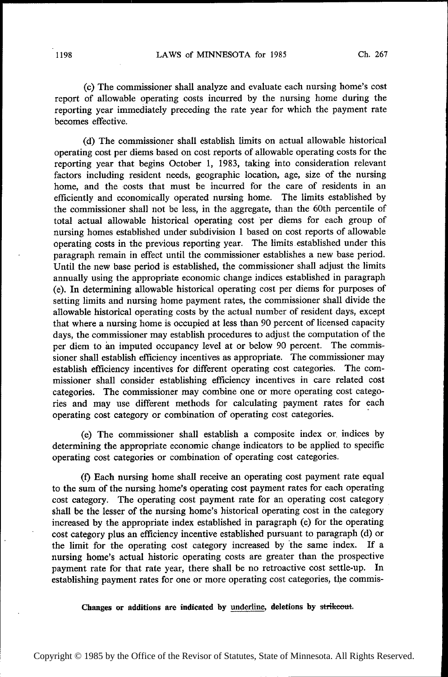(c) The commissioner shall analyze and evaluate each nursing home's cost report of allowable operating costs incurred by the nursing home during the reporting year immediately preceding the rate year for which the payment rate becomes effective.

~ (d) The commissioner shall establish limits on actual allowable historical operating cost per diems based on cost reports of allowable operating costs for the reporting year that begins October 1, 1983, taking into consideration relevant factors including resident needs, geographic location, age, size of the nursing home, and the costs that must be incurred for the care of residents in an efficiently and economically operated nursing home. The limits established by the commissioner shall not be less, in the aggregate, than the 60th percentile of total actual allowable historical operating cost per diems for each group of nursing homes established under subdivision 1 based on cost reports of allowable operating costs in the previous reporting year. The limits established under this paragraph remain in effect until the commissioner establishes a new base period. Until the new base period is established, the commissioner shall adjust the limits annually using the appropriate economic change indices established in paragraph (e). In determining allowable historical operating cost per diems for purposes of setting limits and nursing home payment rates, the commissioner shall divide the allowable historical operating costs by the actual number of resident days, except that where a nursing home is occupied at less than 90 percent of licensed capacity days, the commissioner may establish procedures to adjust the computation of the per diem to an imputed occupancy level at or below 90 percent. The commissioner shall establish efficiency incentives as appropriate. The commissioner may establish efficiency incentives for different operating cost categories. The commissioner shall consider establishing efficiency incentives in care related cost categories. The commissioner may combine one or more operating cost categories and may use different methods for calculating payment rates for each operating cost category or combination of operating cost categories.

(e) The commissioner shall establish a composite index or indices by determining the appropriate economic change indicators to be applied to specific operating cost categories or combination of operating cost categories.

> (f) Each nursing home shall receive an operating cost payment rate equal to the sum of the nursing home's operating cost payment rates for each operating cost category. The operating cost payment rate for an operating cost category \_ shall be the lesser of the nursing home's historical operating cost in the category increased by the appropriate index established in paragraph (c) for the operating cost category plus an efficiency incentive established pursuant to paragraph (d) or the limit for the operating cost category increased by the same index. If a nursing home's actual historic operating costs are greater than the prospective payment rate for that rate year, there shall be no retroactive cost settle-up. In establishing payment rates for one or more operating cost categories, the commis-

Changes or additions are indicated by underline, deletions by strikeout.

Copyright © 1985 by the Office of the Revisor of Statutes, State of Minnesota. All Rights Reserved.

~

~ ~~

∎ ∴ ~~ ~ ~ ~ ~ ~ ~ ~ ~ ~  $\mathbf I$  $\mathsf I$  $\mathbf{r}$ ⋅

~~~

~  $\mathbf{r}$ ~~

■

 $\mathsf{L}$  $\mathsf{L}$  $\mathsf{L}$ ~  $\mathsf{L}$  $\mathbb{R}^n$  $^{\prime}$ ~